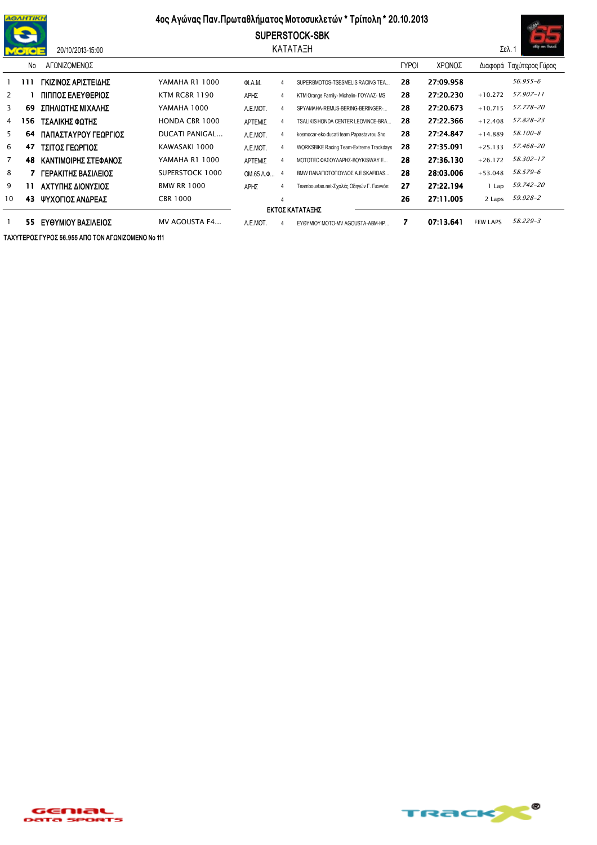

20/10/2013-15:00

## 4ος Αγώνας Παν. Πρωταθλήματος Μοτοσυκλετών \* Τρίπολη \* 20.10.2013





|                 | No  | ΑΓΩΝΙΖΟΜΕΝΟΣ         |                      |                            |    |                                          | <b>TYPOI</b> | ΧΡΟΝΟΣ    |                 | Διαφορά Ταχύτερος Γύρος |
|-----------------|-----|----------------------|----------------------|----------------------------|----|------------------------------------------|--------------|-----------|-----------------|-------------------------|
|                 | 111 | ΓΚΙΖΙΝΟΣ ΑΡΙΣΤΕΙΔΗΣ  | YAMAHA R1 1000       | ΦΙ.Α.Μ.                    | 4  | SUPERBMOTOS-TSESMELIS RACING TEA         | 28           | 27:09.958 |                 | 56.955-6                |
| 2               |     | ΠΙΠΠΟΣ ΕΛΕΥΘΕΡΙΟΣ    | <b>KTM RC8R 1190</b> | ΑΡΗΣ                       | 4  | KTM Orange Family- Michelin- ΓΟΥΛΑΣ- MS  | 28           | 27:20.230 | $+10.272$       | 57.907-11               |
| 3               | 69  | ΣΠΗΛΙΩΤΗΣ ΜΙΧΑΛΗΣ    | YAMAHA 1000          | A.E.MOT.                   | 4  | SPYAMAHA-REMUS-BERING-BERINGER-          | 28           | 27:20.673 | $+10.715$       | 57.778-20               |
| 4               | 156 | ΤΣΑΛΙΚΗΣ ΦΩΤΗΣ       | HONDA CBR 1000       | ΑΡΤΕΜΙΣ                    | 4  | TSALIKIS HONDA CENTER LEOVINCE-BRA       | 28           | 27:22.366 | $+12.408$       | 57.828-23               |
| 5               | 64  | ΠΑΠΑΣΤΑΥΡΟΥ ΓΕΩΡΓΙΟΣ | DUCATI PANIGAL       | A.E.MOT.                   | 4  | kosmocar-eko ducati team.Papastavrou Sho | 28           | 27:24.847 | $+14.889$       | 58.100-8                |
| 6               | 47  | ΤΣΙΤΟΣ ΓΕΩΡΓΙΟΣ      | KAWASAKI 1000        | A.E.MOT.                   | 4  | WORKSBIKE Racing Team-Extreme Trackdays  | 28           | 27:35.091 | $+25.133$       | 57.468-20               |
| 7               | 48  | ΚΑΝΤΙΜΟΙΡΗΣ ΣΤΕΦΑΝΟΣ | YAMAHA R1 1000       | ΑΡΤΕΜΙΣ                    | 4  | ΜΟΤΟΤΕΣ ΦΑΣΟΥΛΑΡΗΣ-ΒΟΥΚΙSWAY E           | 28           | 27:36.130 | $+26.172$       | 58.302-17               |
| 8               |     | ΓΕΡΑΚΙΤΗΣ ΒΑΣΙΛΕΙΟΣ  | SUPERSTOCK 1000      | $OM.65$ $\Lambda$ . $\Phi$ | -4 | <b>BMW ΠΑΝΑΓΙΟΤΟΠΟΥΛΟΣ Α.Ε SKAFIDAS</b>  | 28           | 28:03.006 | $+53.048$       | 58.579-6                |
| 9               | 11  | ΑΧΤΥΠΗΣ ΔΙΟΝΥΣΙΟΣ    | <b>BMW RR 1000</b>   | ΑΡΗΣ                       | 4  | Teamboustas.net-Σχολές Οδηγών Γ. Γιαννόπ | 27           | 27:22.194 | Lap             | 59.742-20               |
| 10              | 43  | ΨΥΧΟΓΙΟΣ ΑΝΔΡΕΑΣ     | CBR 1000             |                            | 4  |                                          | 26           | 27:11.005 | 2 Laps          | 59.928-2                |
| ΕΚΤΟΣ ΚΑΤΑΤΑΞΗΣ |     |                      |                      |                            |    |                                          |              |           |                 |                         |
|                 | 55  | ΕΥΘΥΜΙΟΥ ΒΑΣΙΛΕΙΟΣ   | MV AGOUSTA F4        | A.E.MOT.                   | 4  | EYOYMIOY MOTO-MV AGOUSTA-ABM-HP          | 7            | 07:13.641 | <b>FEW LAPS</b> | 58.229-3                |

ΤΑΧΥΤΕΡΟΣ ΓΥΡΟΣ 56.955 ΑΠΟ ΤΟΝ ΑΓΩΝΙΖΟΜΕΝΟ Νο 111